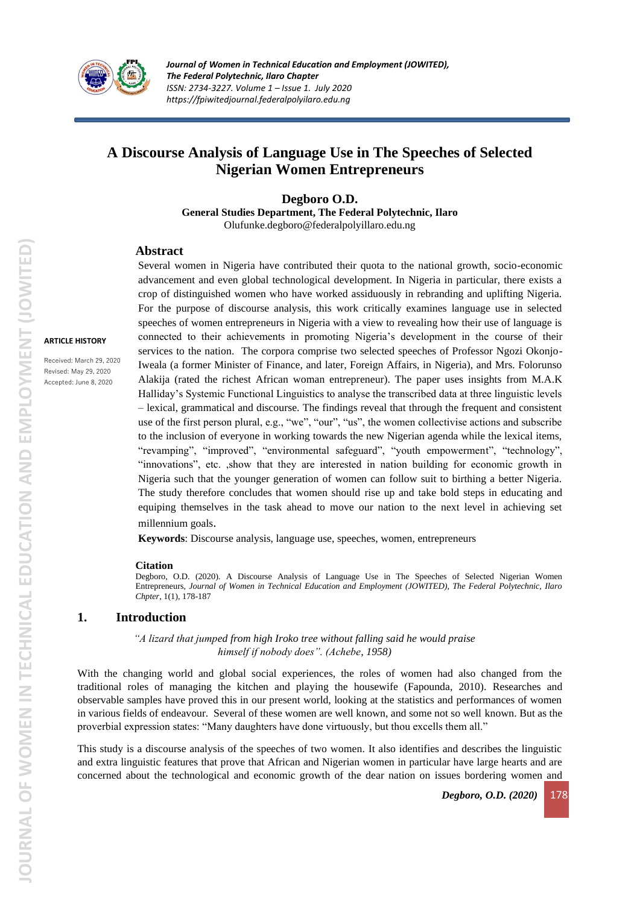

# **A Discourse Analysis of Language Use in The Speeches of Selected Nigerian Women Entrepreneurs**

**Degboro O.D.**

**General Studies Department, The Federal Polytechnic, Ilaro** Olufunke.degboro@federalpolyillaro.edu.ng

#### **Abstract**

**ARTICLE HISTORY**

Received: March 29, 2020 Revised: May 29, 2020 Accepted: June 8, 2020

Several women in Nigeria have contributed their quota to the national growth, socio-economic advancement and even global technological development. In Nigeria in particular, there exists a crop of distinguished women who have worked assiduously in rebranding and uplifting Nigeria. For the purpose of discourse analysis, this work critically examines language use in selected speeches of women entrepreneurs in Nigeria with a view to revealing how their use of language is connected to their achievements in promoting Nigeria's development in the course of their services to the nation. The corpora comprise two selected speeches of Professor Ngozi Okonjo-Iweala (a former Minister of Finance, and later, Foreign Affairs, in Nigeria), and Mrs. Folorunso Alakija (rated the richest African woman entrepreneur). The paper uses insights from M.A.K Halliday's Systemic Functional Linguistics to analyse the transcribed data at three linguistic levels – lexical, grammatical and discourse. The findings reveal that through the frequent and consistent use of the first person plural, e.g., "we", "our", "us", the women collectivise actions and subscribe to the inclusion of everyone in working towards the new Nigerian agenda while the lexical items, "revamping", "improved", "environmental safeguard", "youth empowerment", "technology", "innovations", etc. ,show that they are interested in nation building for economic growth in Nigeria such that the younger generation of women can follow suit to birthing a better Nigeria. The study therefore concludes that women should rise up and take bold steps in educating and equiping themselves in the task ahead to move our nation to the next level in achieving set millennium goals.

**Keywords**: Discourse analysis, language use, speeches, women, entrepreneurs

#### **Citation**

Degboro, O.D. (2020). A Discourse Analysis of Language Use in The Speeches of Selected Nigerian Women Entrepreneurs, *Journal of Women in Technical Education and Employment (JOWITED), The Federal Polytechnic, Ilaro Chpter*, 1(1), 178-187

#### **1. Introduction**

*"A lizard that jumped from high Iroko tree without falling said he would praise himself if nobody does". (Achebe, 1958)*

With the changing world and global social experiences, the roles of women had also changed from the traditional roles of managing the kitchen and playing the housewife (Fapounda, 2010). Researches and observable samples have proved this in our present world, looking at the statistics and performances of women in various fields of endeavour. Several of these women are well known, and some not so well known. But as the proverbial expression states: "Many daughters have done virtuously, but thou excells them all."

This study is a discourse analysis of the speeches of two women. It also identifies and describes the linguistic and extra linguistic features that prove that African and Nigerian women in particular have large hearts and are concerned about the technological and economic growth of the dear nation on issues bordering women and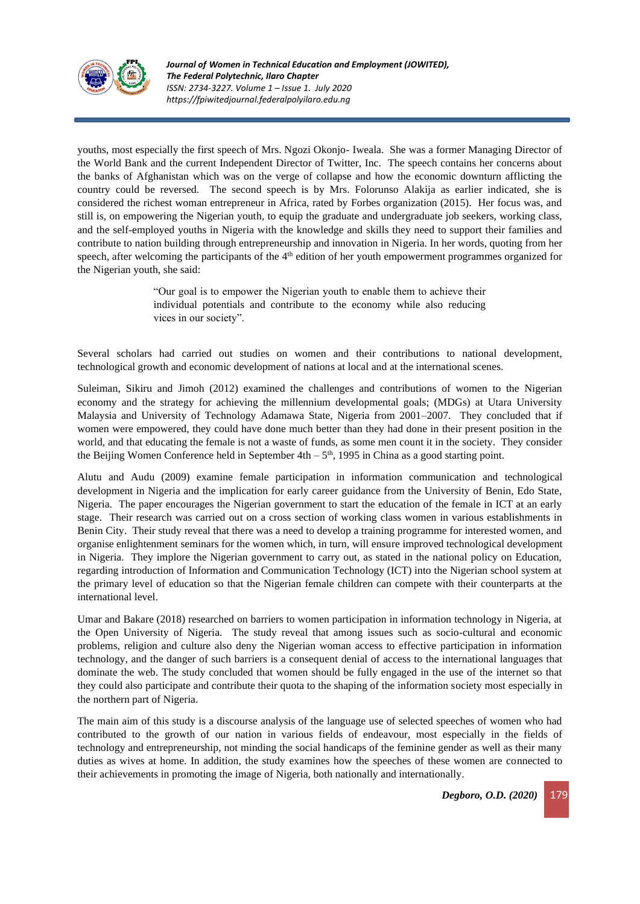

youths, most especially the first speech of Mrs. Ngozi Okonjo- Iweala. She was a former Managing Director of the World Bank and the current Independent Director of Twitter, Inc. The speech contains her concerns about the banks of Afghanistan which was on the verge of collapse and how the economic downturn afflicting the country could be reversed. The second speech is by Mrs. Folorunso Alakija as earlier indicated, she is considered the richest woman entrepreneur in Africa, rated by Forbes organization (2015). Her focus was, and still is, on empowering the Nigerian youth, to equip the graduate and undergraduate job seekers, working class, and the self-employed youths in Nigeria with the knowledge and skills they need to support their families and contribute to nation building through entrepreneurship and innovation in Nigeria. In her words, quoting from her speech, after welcoming the participants of the 4<sup>th</sup> edition of her youth empowerment programmes organized for the Nigerian youth, she said:

> "Our goal is to empower the Nigerian youth to enable them to achieve their individual potentials and contribute to the economy while also reducing vices in our society".

Several scholars had carried out studies on women and their contributions to national development, technological growth and economic development of nations at local and at the international scenes.

Suleiman, Sikiru and Jimoh (2012) examined the challenges and contributions of women to the Nigerian economy and the strategy for achieving the millennium developmental goals; (MDGs) at Utara University Malaysia and University of Technology Adamawa State, Nigeria from 2001–2007. They concluded that if women were empowered, they could have done much better than they had done in their present position in the world, and that educating the female is not a waste of funds, as some men count it in the society. They consider the Beijing Women Conference held in September  $4th - 5<sup>th</sup>$ , 1995 in China as a good starting point.

Alutu and Audu (2009) examine female participation in information communication and technological development in Nigeria and the implication for early career guidance from the University of Benin, Edo State, Nigeria. The paper encourages the Nigerian government to start the education of the female in ICT at an early stage. Their research was carried out on a cross section of working class women in various establishments in Benin City. Their study reveal that there was a need to develop a training programme for interested women, and organise enlightenment seminars for the women which, in turn, will ensure improved technological development in Nigeria. They implore the Nigerian government to carry out, as stated in the national policy on Education, regarding introduction of Information and Communication Technology (ICT) into the Nigerian school system at the primary level of education so that the Nigerian female children can compete with their counterparts at the international level.

Umar and Bakare (2018) researched on barriers to women participation in information technology in Nigeria, at the Open University of Nigeria. The study reveal that among issues such as socio-cultural and economic problems, religion and culture also deny the Nigerian woman access to effective participation in information technology, and the danger of such barriers is a consequent denial of access to the international languages that dominate the web. The study concluded that women should be fully engaged in the use of the internet so that they could also participate and contribute their quota to the shaping of the information society most especially in the northern part of Nigeria.

The main aim of this study is a discourse analysis of the language use of selected speeches of women who had contributed to the growth of our nation in various fields of endeavour, most especially in the fields of technology and entrepreneurship, not minding the social handicaps of the feminine gender as well as their many duties as wives at home. In addition, the study examines how the speeches of these women are connected to their achievements in promoting the image of Nigeria, both nationally and internationally.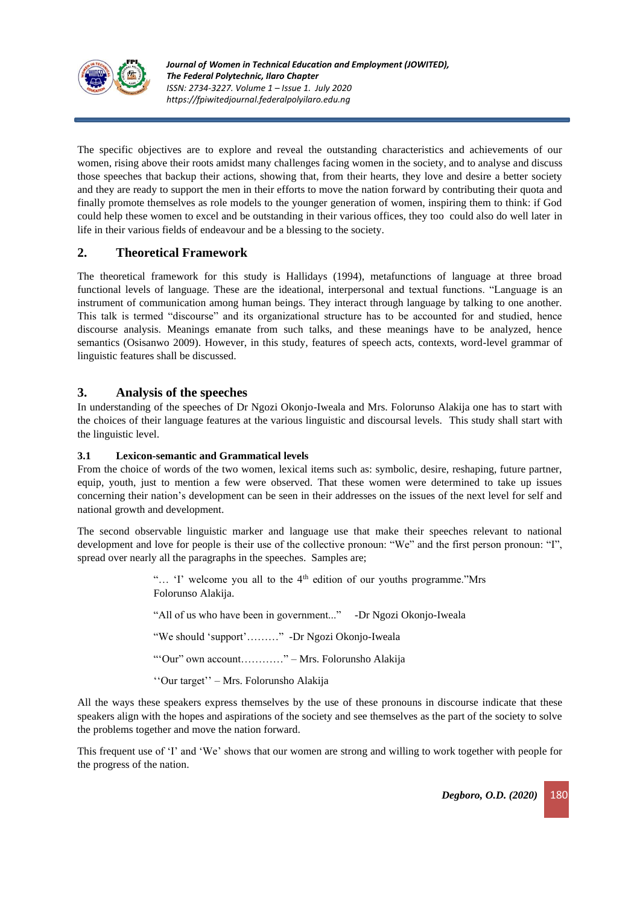

The specific objectives are to explore and reveal the outstanding characteristics and achievements of our women, rising above their roots amidst many challenges facing women in the society, and to analyse and discuss those speeches that backup their actions, showing that, from their hearts, they love and desire a better society and they are ready to support the men in their efforts to move the nation forward by contributing their quota and finally promote themselves as role models to the younger generation of women, inspiring them to think: if God could help these women to excel and be outstanding in their various offices, they too could also do well later in life in their various fields of endeavour and be a blessing to the society.

# **2. Theoretical Framework**

The theoretical framework for this study is Hallidays (1994), metafunctions of language at three broad functional levels of language. These are the ideational, interpersonal and textual functions. "Language is an instrument of communication among human beings. They interact through language by talking to one another. This talk is termed "discourse" and its organizational structure has to be accounted for and studied, hence discourse analysis. Meanings emanate from such talks, and these meanings have to be analyzed, hence semantics (Osisanwo 2009). However, in this study, features of speech acts, contexts, word-level grammar of linguistic features shall be discussed.

# **3. Analysis of the speeches**

In understanding of the speeches of Dr Ngozi Okonjo-Iweala and Mrs. Folorunso Alakija one has to start with the choices of their language features at the various linguistic and discoursal levels. This study shall start with the linguistic level.

#### **3.1 Lexicon-semantic and Grammatical levels**

From the choice of words of the two women, lexical items such as: symbolic, desire, reshaping, future partner, equip, youth, just to mention a few were observed. That these women were determined to take up issues concerning their nation's development can be seen in their addresses on the issues of the next level for self and national growth and development.

The second observable linguistic marker and language use that make their speeches relevant to national development and love for people is their use of the collective pronoun: "We" and the first person pronoun: "I", spread over nearly all the paragraphs in the speeches. Samples are;

> "... 'I' welcome you all to the 4<sup>th</sup> edition of our youths programme."Mrs Folorunso Alakija.

"All of us who have been in government..." -Dr Ngozi Okonjo-Iweala

"We should 'support'………" -Dr Ngozi Okonjo-Iweala

"'Our" own account…………" – Mrs. Folorunsho Alakija

''Our target'' – Mrs. Folorunsho Alakija

All the ways these speakers express themselves by the use of these pronouns in discourse indicate that these speakers align with the hopes and aspirations of the society and see themselves as the part of the society to solve the problems together and move the nation forward.

This frequent use of 'I' and 'We' shows that our women are strong and willing to work together with people for the progress of the nation.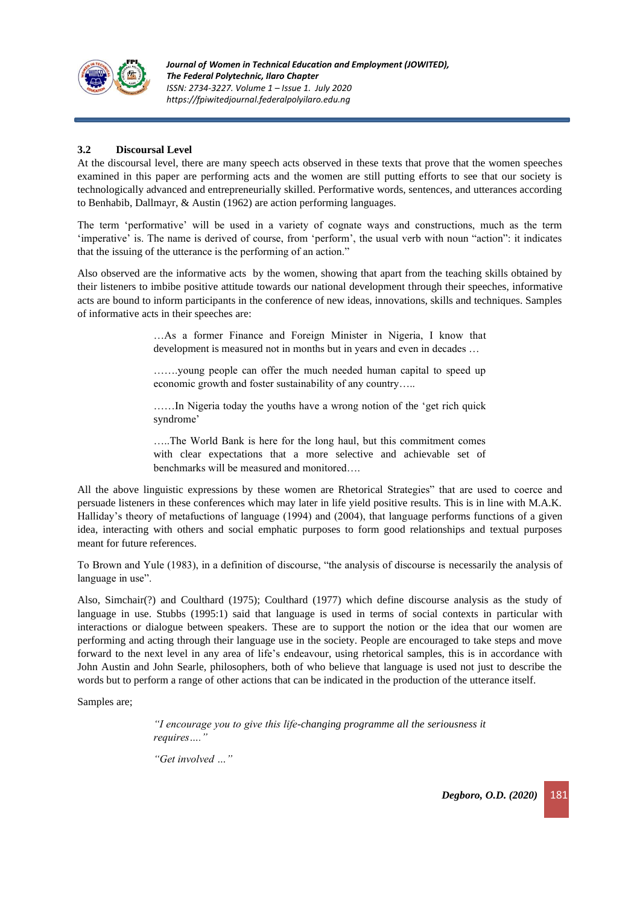

# **3.2 Discoursal Level**

At the discoursal level, there are many speech acts observed in these texts that prove that the women speeches examined in this paper are performing acts and the women are still putting efforts to see that our society is technologically advanced and entrepreneurially skilled. Performative words, sentences, and utterances according to Benhabib, Dallmayr, & Austin (1962) are action performing languages.

The term 'performative' will be used in a variety of cognate ways and constructions, much as the term 'imperative' is. The name is derived of course, from 'perform', the usual verb with noun "action": it indicates that the issuing of the utterance is the performing of an action."

Also observed are the informative acts by the women, showing that apart from the teaching skills obtained by their listeners to imbibe positive attitude towards our national development through their speeches, informative acts are bound to inform participants in the conference of new ideas, innovations, skills and techniques. Samples of informative acts in their speeches are:

> …As a former Finance and Foreign Minister in Nigeria, I know that development is measured not in months but in years and even in decades …

> …….young people can offer the much needed human capital to speed up economic growth and foster sustainability of any country…..

> ……In Nigeria today the youths have a wrong notion of the 'get rich quick syndrome'

> …..The World Bank is here for the long haul, but this commitment comes with clear expectations that a more selective and achievable set of benchmarks will be measured and monitored….

All the above linguistic expressions by these women are Rhetorical Strategies" that are used to coerce and persuade listeners in these conferences which may later in life yield positive results. This is in line with M.A.K. Halliday's theory of metafuctions of language (1994) and (2004), that language performs functions of a given idea, interacting with others and social emphatic purposes to form good relationships and textual purposes meant for future references.

To Brown and Yule (1983), in a definition of discourse, "the analysis of discourse is necessarily the analysis of language in use".

Also, Simchair(?) and Coulthard (1975); Coulthard (1977) which define discourse analysis as the study of language in use. Stubbs (1995:1) said that language is used in terms of social contexts in particular with interactions or dialogue between speakers. These are to support the notion or the idea that our women are performing and acting through their language use in the society. People are encouraged to take steps and move forward to the next level in any area of life's endeavour, using rhetorical samples, this is in accordance with John Austin and John Searle, philosophers, both of who believe that language is used not just to describe the words but to perform a range of other actions that can be indicated in the production of the utterance itself.

Samples are;

*"I encourage you to give this life-changing programme all the seriousness it requires…."*

*"Get involved …"*

*Degboro, O.D. (2020)* 181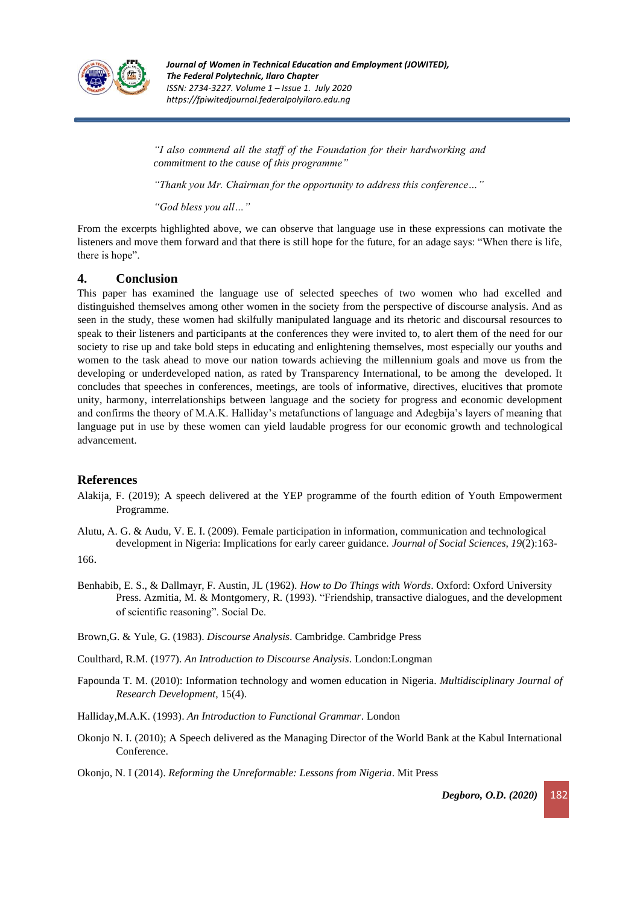

*"I also commend all the staff of the Foundation for their hardworking and commitment to the cause of this programme"*

*"Thank you Mr. Chairman for the opportunity to address this conference…"*

*"God bless you all…"*

From the excerpts highlighted above, we can observe that language use in these expressions can motivate the listeners and move them forward and that there is still hope for the future, for an adage says: "When there is life, there is hope".

## **4. Conclusion**

This paper has examined the language use of selected speeches of two women who had excelled and distinguished themselves among other women in the society from the perspective of discourse analysis. And as seen in the study, these women had skilfully manipulated language and its rhetoric and discoursal resources to speak to their listeners and participants at the conferences they were invited to, to alert them of the need for our society to rise up and take bold steps in educating and enlightening themselves, most especially our youths and women to the task ahead to move our nation towards achieving the millennium goals and move us from the developing or underdeveloped nation, as rated by Transparency International, to be among the developed. It concludes that speeches in conferences, meetings, are tools of informative, directives, elucitives that promote unity, harmony, interrelationships between language and the society for progress and economic development and confirms the theory of M.A.K. Halliday's metafunctions of language and Adegbija's layers of meaning that language put in use by these women can yield laudable progress for our economic growth and technological advancement.

## **References**

Alakija, F. (2019); A speech delivered at the YEP programme of the fourth edition of Youth Empowerment Programme.

Alutu, A. G. & Audu, V. E. I. (2009). Female participation in information, communication and technological development in Nigeria: Implications for early career guidance. *Journal of Social Sciences*, *19*(2):163-

166.

- Benhabib, E. S., & Dallmayr, F. Austin, JL (1962). *How to Do Things with Words*. Oxford: Oxford University Press. Azmitia, M. & Montgomery, R. (1993). "Friendship, transactive dialogues, and the development of scientific reasoning". Social De.
- Brown,G. & Yule, G. (1983). *Discourse Analysis*. Cambridge. Cambridge Press
- Coulthard, R.M. (1977). *An Introduction to Discourse Analysis*. London:Longman
- Fapounda T. M. (2010): Information technology and women education in Nigeria. *Multidisciplinary Journal of Research Development*, 15(4).
- Halliday,M.A.K. (1993). *An Introduction to Functional Grammar*. London
- Okonjo N. I. (2010); A Speech delivered as the Managing Director of the World Bank at the Kabul International Conference.

Okonjo, N. I (2014). *Reforming the Unreformable: Lessons from Nigeria*. Mit Press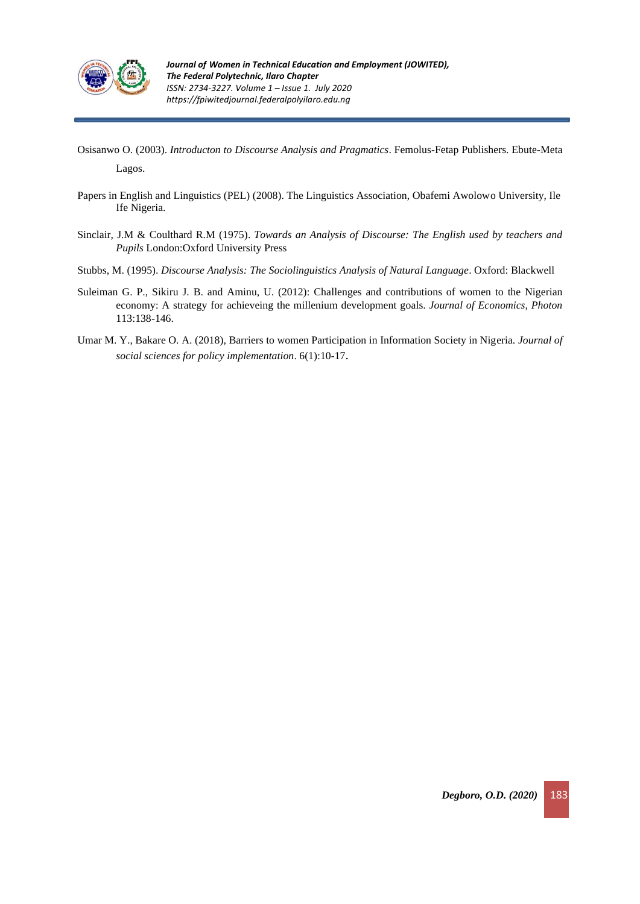

- Osisanwo O. (2003). *Introducton to Discourse Analysis and Pragmatics*. Femolus-Fetap Publishers. Ebute-Meta Lagos.
- Papers in English and Linguistics (PEL) (2008). The Linguistics Association, Obafemi Awolowo University, Ile Ife Nigeria.
- Sinclair, J.M & Coulthard R.M (1975). *Towards an Analysis of Discourse: The English used by teachers and Pupils* London:Oxford University Press
- Stubbs, M. (1995). *Discourse Analysis: The Sociolinguistics Analysis of Natural Language*. Oxford: Blackwell
- Suleiman G. P., Sikiru J. B. and Aminu, U. (2012): Challenges and contributions of women to the Nigerian economy: A strategy for achieveing the millenium development goals. *Journal of Economics, Photon* 113:138-146.
- Umar M. Y., Bakare O. A. (2018), Barriers to women Participation in Information Society in Nigeria. *Journal of social sciences for policy implementation*. 6(1):10-17.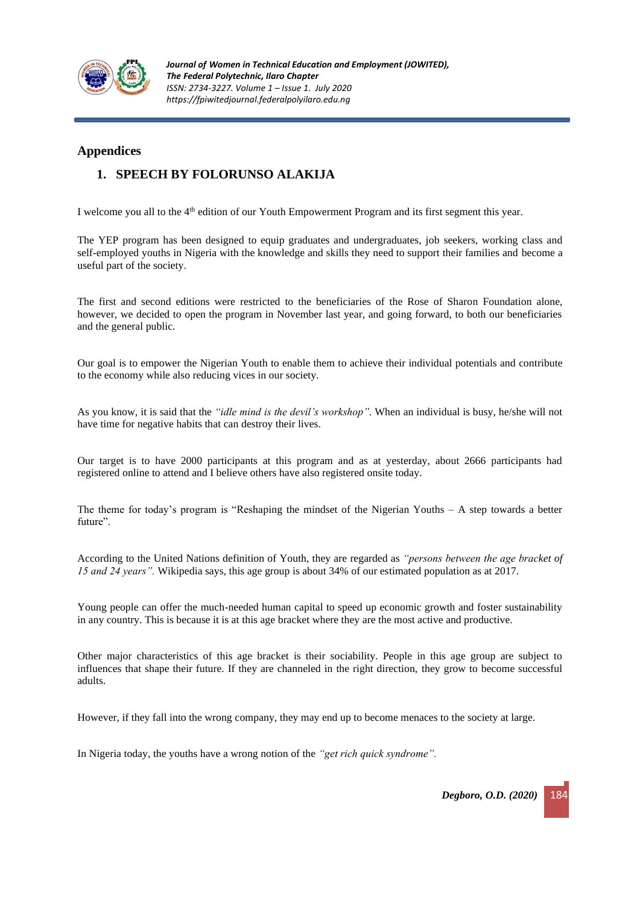

# **Appendices**

# **1. SPEECH BY FOLORUNSO ALAKIJA**

I welcome you all to the 4<sup>th</sup> edition of our Youth Empowerment Program and its first segment this year.

The YEP program has been designed to equip graduates and undergraduates, job seekers, working class and self-employed youths in Nigeria with the knowledge and skills they need to support their families and become a useful part of the society.

The first and second editions were restricted to the beneficiaries of the Rose of Sharon Foundation alone, however, we decided to open the program in November last year, and going forward, to both our beneficiaries and the general public.

Our goal is to empower the Nigerian Youth to enable them to achieve their individual potentials and contribute to the economy while also reducing vices in our society.

As you know, it is said that the *"idle mind is the devil's workshop".* When an individual is busy, he/she will not have time for negative habits that can destroy their lives.

Our target is to have 2000 participants at this program and as at yesterday, about 2666 participants had registered online to attend and I believe others have also registered onsite today.

The theme for today's program is "Reshaping the mindset of the Nigerian Youths – A step towards a better future".

According to the United Nations definition of Youth, they are regarded as *"persons between the age bracket of 15 and 24 years".* Wikipedia says, this age group is about 34% of our estimated population as at 2017.

Young people can offer the much-needed human capital to speed up economic growth and foster sustainability in any country. This is because it is at this age bracket where they are the most active and productive.

Other major characteristics of this age bracket is their sociability. People in this age group are subject to influences that shape their future. If they are channeled in the right direction, they grow to become successful adults.

However, if they fall into the wrong company, they may end up to become menaces to the society at large.

In Nigeria today, the youths have a wrong notion of the *"get rich quick syndrome".*

*Degboro, O.D.* (2020)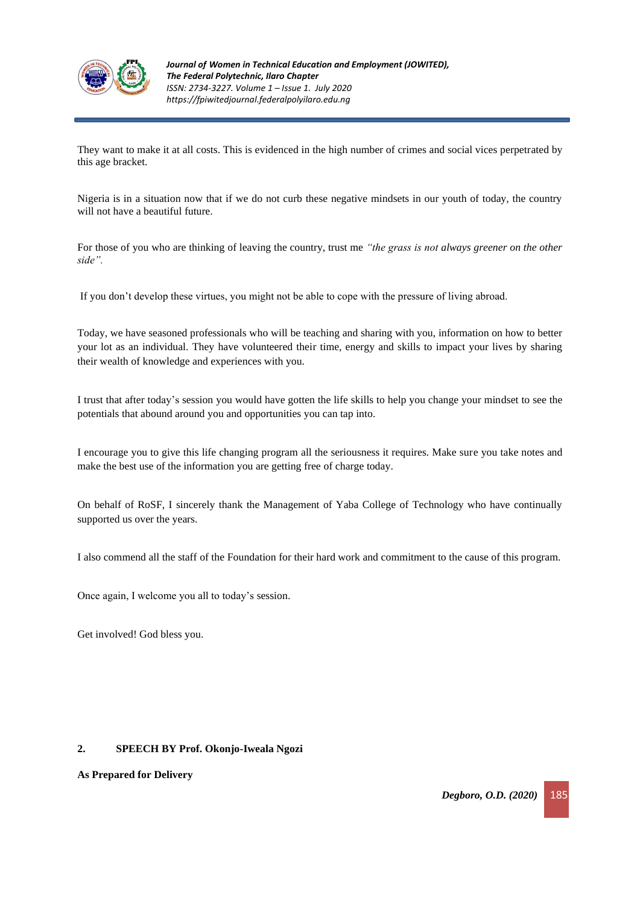

They want to make it at all costs. This is evidenced in the high number of crimes and social vices perpetrated by this age bracket.

Nigeria is in a situation now that if we do not curb these negative mindsets in our youth of today, the country will not have a beautiful future.

For those of you who are thinking of leaving the country, trust me *"the grass is not always greener on the other side".*

If you don't develop these virtues, you might not be able to cope with the pressure of living abroad.

Today, we have seasoned professionals who will be teaching and sharing with you, information on how to better your lot as an individual. They have volunteered their time, energy and skills to impact your lives by sharing their wealth of knowledge and experiences with you.

I trust that after today's session you would have gotten the life skills to help you change your mindset to see the potentials that abound around you and opportunities you can tap into.

I encourage you to give this life changing program all the seriousness it requires. Make sure you take notes and make the best use of the information you are getting free of charge today.

On behalf of RoSF, I sincerely thank the Management of Yaba College of Technology who have continually supported us over the years.

I also commend all the staff of the Foundation for their hard work and commitment to the cause of this program.

Once again, I welcome you all to today's session.

Get involved! God bless you.

#### **2. SPEECH BY Prof. Okonjo-Iweala Ngozi**

**As Prepared for Delivery**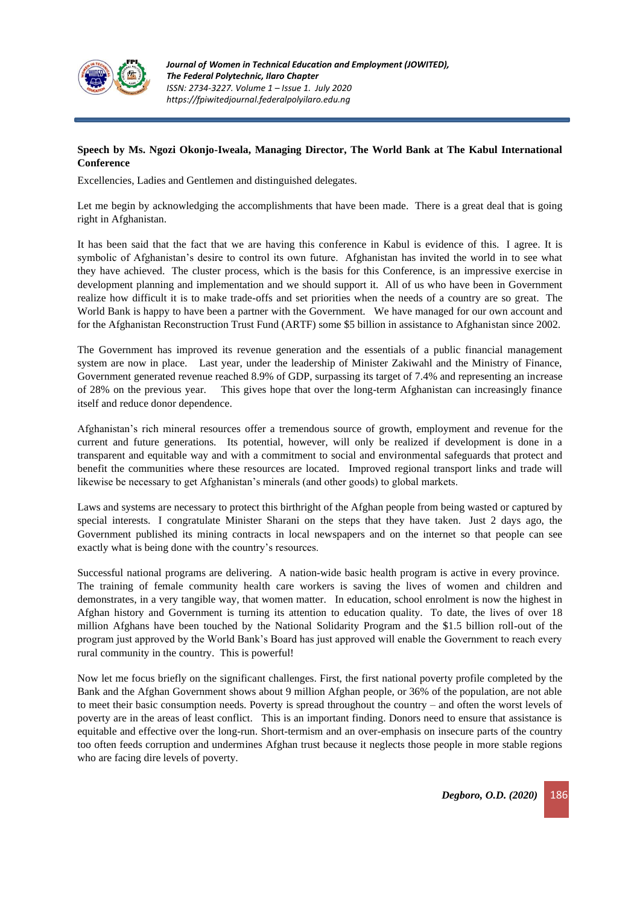

# **Speech by Ms. Ngozi Okonjo-Iweala, Managing Director, The World Bank at The Kabul International Conference**

Excellencies, Ladies and Gentlemen and distinguished delegates.

Let me begin by acknowledging the accomplishments that have been made. There is a great deal that is going right in Afghanistan.

It has been said that the fact that we are having this conference in Kabul is evidence of this. I agree. It is symbolic of Afghanistan's desire to control its own future. Afghanistan has invited the world in to see what they have achieved. The cluster process, which is the basis for this Conference, is an impressive exercise in development planning and implementation and we should support it. All of us who have been in Government realize how difficult it is to make trade-offs and set priorities when the needs of a country are so great. The World Bank is happy to have been a partner with the Government. We have managed for our own account and for the Afghanistan Reconstruction Trust Fund (ARTF) some \$5 billion in assistance to Afghanistan since 2002.

The Government has improved its revenue generation and the essentials of a public financial management system are now in place. Last year, under the leadership of Minister Zakiwahl and the Ministry of Finance, Government generated revenue reached 8.9% of GDP, surpassing its target of 7.4% and representing an increase of 28% on the previous year. This gives hope that over the long-term Afghanistan can increasingly finance itself and reduce donor dependence.

Afghanistan's rich mineral resources offer a tremendous source of growth, employment and revenue for the current and future generations. Its potential, however, will only be realized if development is done in a transparent and equitable way and with a commitment to social and environmental safeguards that protect and benefit the communities where these resources are located. Improved regional transport links and trade will likewise be necessary to get Afghanistan's minerals (and other goods) to global markets.

Laws and systems are necessary to protect this birthright of the Afghan people from being wasted or captured by special interests. I congratulate Minister Sharani on the steps that they have taken. Just 2 days ago, the Government published its mining contracts in local newspapers and on the internet so that people can see exactly what is being done with the country's resources.

Successful national programs are delivering. A nation-wide basic health program is active in every province. The training of female community health care workers is saving the lives of women and children and demonstrates, in a very tangible way, that women matter. In education, school enrolment is now the highest in Afghan history and Government is turning its attention to education quality. To date, the lives of over 18 million Afghans have been touched by the National Solidarity Program and the \$1.5 billion roll-out of the program just approved by the World Bank's Board has just approved will enable the Government to reach every rural community in the country. This is powerful!

Now let me focus briefly on the significant challenges. First, the first national poverty profile completed by the Bank and the Afghan Government shows about 9 million Afghan people, or 36% of the population, are not able to meet their basic consumption needs. Poverty is spread throughout the country – and often the worst levels of poverty are in the areas of least conflict. This is an important finding. Donors need to ensure that assistance is equitable and effective over the long-run. Short-termism and an over-emphasis on insecure parts of the country too often feeds corruption and undermines Afghan trust because it neglects those people in more stable regions who are facing dire levels of poverty.